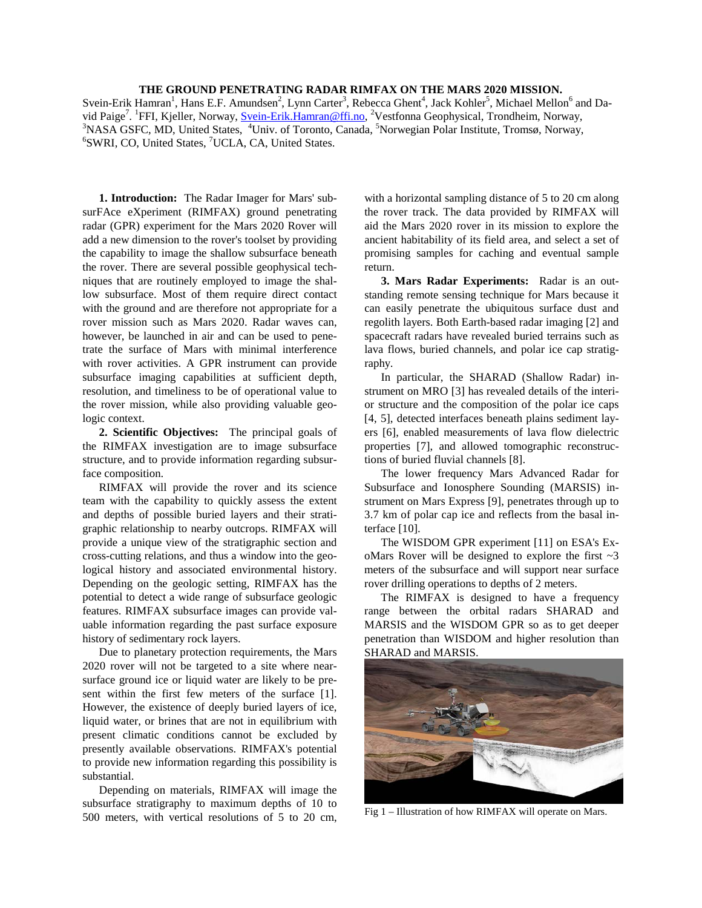## **THE GROUND PENETRATING RADAR RIMFAX ON THE MARS 2020 MISSION.**

Svein-Erik Hamran<sup>1</sup>, Hans E.F. Amundsen<sup>2</sup>, Lynn Carter<sup>3</sup>, Rebecca Ghent<sup>4</sup>, Jack Kohler<sup>5</sup>, Michael Mellon<sup>6</sup> and David Paige<sup>7</sup>. <sup>1</sup>FFI, Kjeller, Norway, <u>Svein-Erik.Hamran@ffi.no</u>, <sup>2</sup>Vestfonna Geophysical, Trondheim, Norway, 3NASA GSEC, MD, United States, <sup>4</sup>Univ. of Terente, Canada<sup>, 5</sup>Newwayian Palar Institute, Tromas, Norway, <sup>3</sup>NASA GSFC, MD, United States, <sup>4</sup>Univ. of Toronto, Canada, <sup>5</sup>Norwegian Polar Institute, Tromsø, Norway, <sup>6</sup>SWPL CO, United States<sup>7</sup>UCLA, CA, United States SWRI, CO, United States, <sup>7</sup>UCLA, CA, United States.

**1. Introduction:** The Radar Imager for Mars' subsurFAce eXperiment (RIMFAX) ground penetrating radar (GPR) experiment for the Mars 2020 Rover will add a new dimension to the rover's toolset by providing the capability to image the shallow subsurface beneath the rover. There are several possible geophysical techniques that are routinely employed to image the shallow subsurface. Most of them require direct contact with the ground and are therefore not appropriate for a rover mission such as Mars 2020. Radar waves can, however, be launched in air and can be used to penetrate the surface of Mars with minimal interference with rover activities. A GPR instrument can provide subsurface imaging capabilities at sufficient depth, resolution, and timeliness to be of operational value to the rover mission, while also providing valuable geologic context.

**2. Scientific Objectives:** The principal goals of the RIMFAX investigation are to image subsurface structure, and to provide information regarding subsurface composition.

RIMFAX will provide the rover and its science team with the capability to quickly assess the extent and depths of possible buried layers and their stratigraphic relationship to nearby outcrops. RIMFAX will provide a unique view of the stratigraphic section and cross-cutting relations, and thus a window into the geological history and associated environmental history. Depending on the geologic setting, RIMFAX has the potential to detect a wide range of subsurface geologic features. RIMFAX subsurface images can provide valuable information regarding the past surface exposure history of sedimentary rock layers.

Due to planetary protection requirements, the Mars 2020 rover will not be targeted to a site where nearsurface ground ice or liquid water are likely to be present within the first few meters of the surface [1]. However, the existence of deeply buried layers of ice, liquid water, or brines that are not in equilibrium with present climatic conditions cannot be excluded by presently available observations. RIMFAX's potential to provide new information regarding this possibility is substantial.

Depending on materials, RIMFAX will image the subsurface stratigraphy to maximum depths of 10 to 500 meters, with vertical resolutions of 5 to 20 cm,

with a horizontal sampling distance of 5 to 20 cm along the rover track. The data provided by RIMFAX will aid the Mars 2020 rover in its mission to explore the ancient habitability of its field area, and select a set of promising samples for caching and eventual sample return.

**3. Mars Radar Experiments:** Radar is an outstanding remote sensing technique for Mars because it can easily penetrate the ubiquitous surface dust and regolith layers. Both Earth-based radar imaging [2] and spacecraft radars have revealed buried terrains such as lava flows, buried channels, and polar ice cap stratigraphy.

In particular, the SHARAD (Shallow Radar) instrument on MRO [3] has revealed details of the interior structure and the composition of the polar ice caps [4, 5], detected interfaces beneath plains sediment layers [6], enabled measurements of lava flow dielectric properties [7], and allowed tomographic reconstructions of buried fluvial channels [8].

The lower frequency Mars Advanced Radar for Subsurface and Ionosphere Sounding (MARSIS) instrument on Mars Express [9], penetrates through up to 3.7 km of polar cap ice and reflects from the basal interface [10].

The WISDOM GPR experiment [11] on ESA's ExoMars Rover will be designed to explore the first  $\sim$ 3 meters of the subsurface and will support near surface rover drilling operations to depths of 2 meters.

The RIMFAX is designed to have a frequency range between the orbital radars SHARAD and MARSIS and the WISDOM GPR so as to get deeper penetration than WISDOM and higher resolution than SHARAD and MARSIS.



Fig 1 – Illustration of how RIMFAX will operate on Mars.